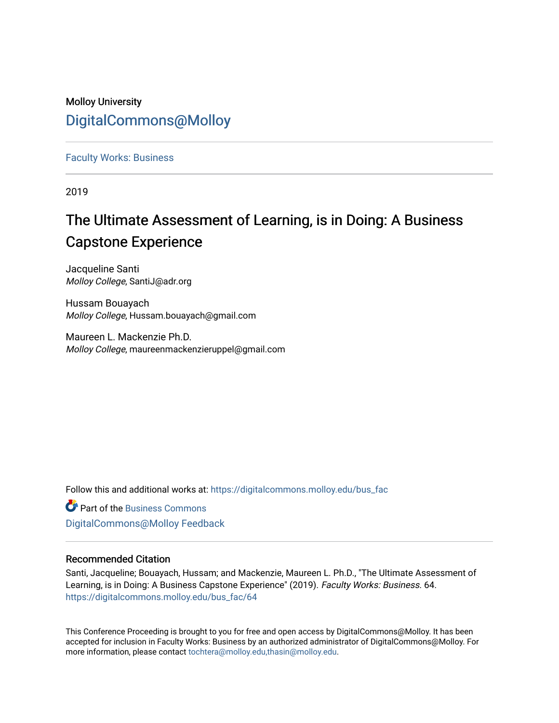# Molloy University [DigitalCommons@Molloy](https://digitalcommons.molloy.edu/)

[Faculty Works: Business](https://digitalcommons.molloy.edu/bus_fac) 

2019

# The Ultimate Assessment of Learning, is in Doing: A Business Capstone Experience

Jacqueline Santi Molloy College, SantiJ@adr.org

Hussam Bouayach Molloy College, Hussam.bouayach@gmail.com

Maureen L. Mackenzie Ph.D. Molloy College, maureenmackenzieruppel@gmail.com

Follow this and additional works at: [https://digitalcommons.molloy.edu/bus\\_fac](https://digitalcommons.molloy.edu/bus_fac?utm_source=digitalcommons.molloy.edu%2Fbus_fac%2F64&utm_medium=PDF&utm_campaign=PDFCoverPages)

**C** Part of the [Business Commons](https://network.bepress.com/hgg/discipline/622?utm_source=digitalcommons.molloy.edu%2Fbus_fac%2F64&utm_medium=PDF&utm_campaign=PDFCoverPages) [DigitalCommons@Molloy Feedback](https://molloy.libwizard.com/f/dcfeedback)

# Recommended Citation

Santi, Jacqueline; Bouayach, Hussam; and Mackenzie, Maureen L. Ph.D., "The Ultimate Assessment of Learning, is in Doing: A Business Capstone Experience" (2019). Faculty Works: Business. 64. [https://digitalcommons.molloy.edu/bus\\_fac/64](https://digitalcommons.molloy.edu/bus_fac/64?utm_source=digitalcommons.molloy.edu%2Fbus_fac%2F64&utm_medium=PDF&utm_campaign=PDFCoverPages) 

This Conference Proceeding is brought to you for free and open access by DigitalCommons@Molloy. It has been accepted for inclusion in Faculty Works: Business by an authorized administrator of DigitalCommons@Molloy. For more information, please contact [tochtera@molloy.edu,thasin@molloy.edu.](mailto:tochtera@molloy.edu,thasin@molloy.edu)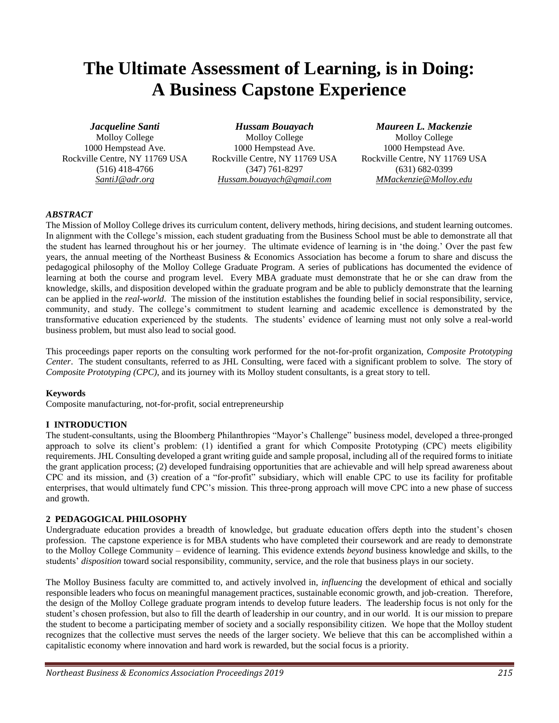# **The Ultimate Assessment of Learning, is in Doing: A Business Capstone Experience**

*Jacqueline Santi* Molloy College 1000 Hempstead Ave. Rockville Centre, NY 11769 USA (516) 418-4766 *SantiJ@adr.org*

*Hussam Bouayach* Molloy College 1000 Hempstead Ave. Rockville Centre, NY 11769 USA (347) 761-8297 *Hussam.bouayach@gmail.com*

*Maureen L. Mackenzie*

Molloy College 1000 Hempstead Ave. Rockville Centre, NY 11769 USA (631) 682-0399 *MMackenzie@Molloy.edu*

#### *ABSTRACT*

The Mission of Molloy College drives its curriculum content, delivery methods, hiring decisions, and student learning outcomes. In alignment with the College's mission, each student graduating from the Business School must be able to demonstrate all that the student has learned throughout his or her journey. The ultimate evidence of learning is in 'the doing.' Over the past few years, the annual meeting of the Northeast Business & Economics Association has become a forum to share and discuss the pedagogical philosophy of the Molloy College Graduate Program. A series of publications has documented the evidence of learning at both the course and program level. Every MBA graduate must demonstrate that he or she can draw from the knowledge, skills, and disposition developed within the graduate program and be able to publicly demonstrate that the learning can be applied in the *real-world*. The mission of the institution establishes the founding belief in social responsibility, service, community, and study. The college's commitment to student learning and academic excellence is demonstrated by the transformative education experienced by the students. The students' evidence of learning must not only solve a real-world business problem, but must also lead to social good.

This proceedings paper reports on the consulting work performed for the not-for-profit organization, *Composite Prototyping Center*. The student consultants, referred to as JHL Consulting, were faced with a significant problem to solve. The story of *Composite Prototyping (CPC)*, and its journey with its Molloy student consultants, is a great story to tell.

#### **Keywords**

Composite manufacturing, not-for-profit, social entrepreneurship

#### **I INTRODUCTION**

The student-consultants, using the Bloomberg Philanthropies "Mayor's Challenge" business model, developed a three-pronged approach to solve its client's problem: (1) identified a grant for which Composite Prototyping (CPC) meets eligibility requirements. JHL Consulting developed a grant writing guide and sample proposal, including all of the required forms to initiate the grant application process; (2) developed fundraising opportunities that are achievable and will help spread awareness about CPC and its mission, and (3) creation of a "for-profit" subsidiary, which will enable CPC to use its facility for profitable enterprises, that would ultimately fund CPC's mission. This three-prong approach will move CPC into a new phase of success and growth.

#### **2 PEDAGOGICAL PHILOSOPHY**

Undergraduate education provides a breadth of knowledge, but graduate education offers depth into the student's chosen profession. The capstone experience is for MBA students who have completed their coursework and are ready to demonstrate to the Molloy College Community – evidence of learning. This evidence extends *beyond* business knowledge and skills, to the students' *disposition* toward social responsibility, community, service, and the role that business plays in our society.

The Molloy Business faculty are committed to, and actively involved in, *influencing* the development of ethical and socially responsible leaders who focus on meaningful management practices, sustainable economic growth, and job-creation. Therefore, the design of the Molloy College graduate program intends to develop future leaders. The leadership focus is not only for the student's chosen profession, but also to fill the dearth of leadership in our country, and in our world. It is our mission to prepare the student to become a participating member of society and a socially responsibility citizen. We hope that the Molloy student recognizes that the collective must serves the needs of the larger society. We believe that this can be accomplished within a capitalistic economy where innovation and hard work is rewarded, but the social focus is a priority.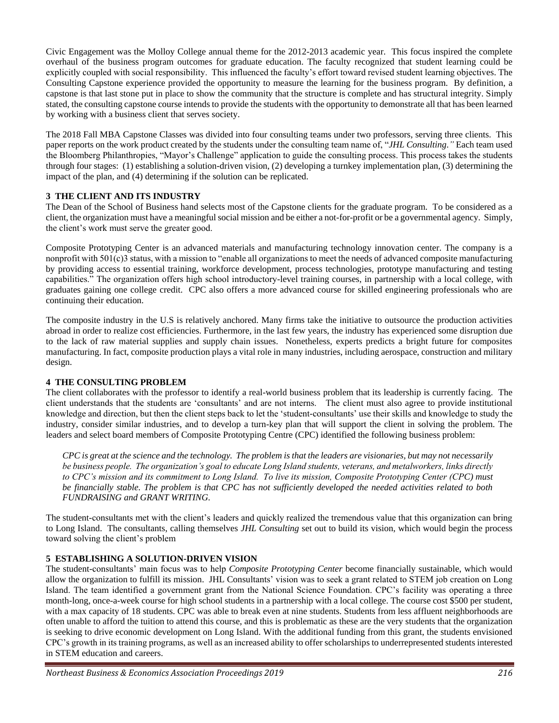Civic Engagement was the Molloy College annual theme for the 2012-2013 academic year. This focus inspired the complete overhaul of the business program outcomes for graduate education. The faculty recognized that student learning could be explicitly coupled with social responsibility. This influenced the faculty's effort toward revised student learning objectives. The Consulting Capstone experience provided the opportunity to measure the learning for the business program. By definition, a capstone is that last stone put in place to show the community that the structure is complete and has structural integrity. Simply stated, the consulting capstone course intends to provide the students with the opportunity to demonstrate all that has been learned by working with a business client that serves society.

The 2018 Fall MBA Capstone Classes was divided into four consulting teams under two professors, serving three clients. This paper reports on the work product created by the students under the consulting team name of, "*JHL Consulting*.*"* Each team used the Bloomberg Philanthropies, "Mayor's Challenge" application to guide the consulting process. This process takes the students through four stages: (1) establishing a solution-driven vision, (2) developing a turnkey implementation plan, (3) determining the impact of the plan, and (4) determining if the solution can be replicated.

# **3 THE CLIENT AND ITS INDUSTRY**

The Dean of the School of Business hand selects most of the Capstone clients for the graduate program. To be considered as a client, the organization must have a meaningful social mission and be either a not-for-profit or be a governmental agency. Simply, the client's work must serve the greater good.

Composite Prototyping Center is an advanced materials and manufacturing technology innovation center. The company is a nonprofit with 501(c)3 status, with a mission to "enable all organizations to meet the needs of advanced composite manufacturing by providing access to essential training, workforce development, process technologies, prototype manufacturing and testing capabilities." The organization offers high school introductory-level training courses, in partnership with a local college, with graduates gaining one college credit. CPC also offers a more advanced course for skilled engineering professionals who are continuing their education.

The composite industry in the U.S is relatively anchored. Many firms take the initiative to outsource the production activities abroad in order to realize cost efficiencies. Furthermore, in the last few years, the industry has experienced some disruption due to the lack of raw material supplies and supply chain issues. Nonetheless, experts predicts a bright future for composites manufacturing. In fact, composite production plays a vital role in many industries, including aerospace, construction and military design.

#### **4 THE CONSULTING PROBLEM**

The client collaborates with the professor to identify a real-world business problem that its leadership is currently facing. The client understands that the students are 'consultants' and are not interns. The client must also agree to provide institutional knowledge and direction, but then the client steps back to let the 'student-consultants' use their skills and knowledge to study the industry, consider similar industries, and to develop a turn-key plan that will support the client in solving the problem. The leaders and select board members of Composite Prototyping Centre (CPC) identified the following business problem:

*CPC is great at the science and the technology. The problem is that the leaders are visionaries, but may not necessarily be business people. The organization's goal to educate Long Island students, veterans, and metalworkers, links directly to CPC's mission and its commitment to Long Island. To live its mission, Composite Prototyping Center (CPC) must be financially stable. The problem is that CPC has not sufficiently developed the needed activities related to both FUNDRAISING and GRANT WRITING.*

The student-consultants met with the client's leaders and quickly realized the tremendous value that this organization can bring to Long Island. The consultants, calling themselves *JHL Consulting* set out to build its vision, which would begin the process toward solving the client's problem

## **5 ESTABLISHING A SOLUTION-DRIVEN VISION**

The student-consultants' main focus was to help *Composite Prototyping Center* become financially sustainable, which would allow the organization to fulfill its mission. JHL Consultants' vision was to seek a grant related to STEM job creation on Long Island. The team identified a government grant from the National Science Foundation. CPC's facility was operating a three month-long, once-a-week course for high school students in a partnership with a local college. The course cost \$500 per student, with a max capacity of 18 students. CPC was able to break even at nine students. Students from less affluent neighborhoods are often unable to afford the tuition to attend this course, and this is problematic as these are the very students that the organization is seeking to drive economic development on Long Island. With the additional funding from this grant, the students envisioned CPC's growth in its training programs, as well as an increased ability to offer scholarships to underrepresented students interested in STEM education and careers.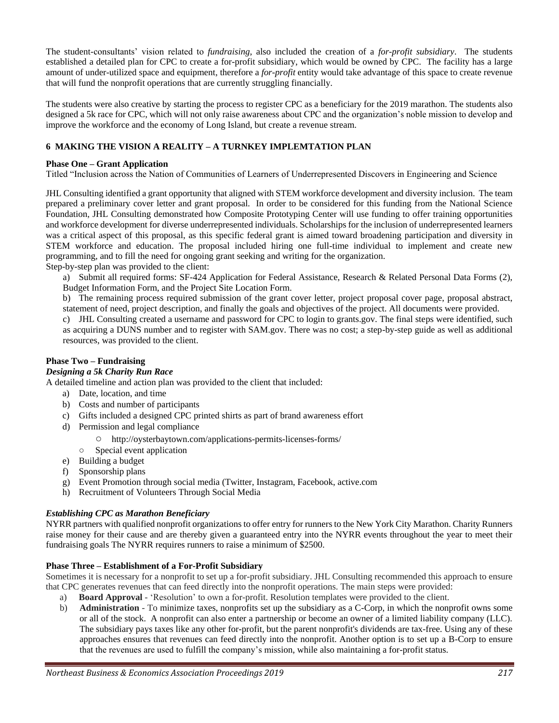The student-consultants' vision related to *fundraising*, also included the creation of a *for-profit subsidiary*. The students established a detailed plan for CPC to create a for-profit subsidiary, which would be owned by CPC. The facility has a large amount of under-utilized space and equipment, therefore a *for-profit* entity would take advantage of this space to create revenue that will fund the nonprofit operations that are currently struggling financially.

The students were also creative by starting the process to register CPC as a beneficiary for the 2019 marathon. The students also designed a 5k race for CPC, which will not only raise awareness about CPC and the organization's noble mission to develop and improve the workforce and the economy of Long Island, but create a revenue stream.

## **6 MAKING THE VISION A REALITY – A TURNKEY IMPLEMTATION PLAN**

#### **Phase One – Grant Application**

Titled "Inclusion across the Nation of Communities of Learners of Underrepresented Discovers in Engineering and Science

JHL Consulting identified a grant opportunity that aligned with STEM workforce development and diversity inclusion. The team prepared a preliminary cover letter and grant proposal. In order to be considered for this funding from the National Science Foundation, JHL Consulting demonstrated how Composite Prototyping Center will use funding to offer training opportunities and workforce development for diverse underrepresented individuals. Scholarships for the inclusion of underrepresented learners was a critical aspect of this proposal, as this specific federal grant is aimed toward broadening participation and diversity in STEM workforce and education. The proposal included hiring one full-time individual to implement and create new programming, and to fill the need for ongoing grant seeking and writing for the organization.

Step-by-step plan was provided to the client:

a) Submit all required forms: SF-424 Application for Federal Assistance, Research & Related Personal Data Forms (2), Budget Information Form, and the Project Site Location Form.

b) The remaining process required submission of the grant cover letter, project proposal cover page, proposal abstract, statement of need, project description, and finally the goals and objectives of the project. All documents were provided.

c) JHL Consulting created a username and password for CPC to login to grants.gov. The final steps were identified, such as acquiring a DUNS number and to register with SAM.gov. There was no cost; a step-by-step guide as well as additional resources, was provided to the client.

# **Phase Two – Fundraising**

# *Designing a 5k Charity Run Race*

A detailed timeline and action plan was provided to the client that included:

- a) Date, location, and time
- b) Costs and number of participants
- c) Gifts included a designed CPC printed shirts as part of brand awareness effort
- d) Permission and legal compliance
	- http://oysterbaytown.com/applications-permits-licenses-forms/
	- Special event application
- e) Building a budget
- f) Sponsorship plans
- g) Event Promotion through social media (Twitter, Instagram, Facebook, active.com
- h) Recruitment of Volunteers Through Social Media

#### *Establishing CPC as Marathon Beneficiary*

NYRR partners with qualified nonprofit organizations to offer entry for runners to the New York City Marathon. Charity Runners raise money for their cause and are thereby given a guaranteed entry into the NYRR events throughout the year to meet their fundraising goals The NYRR requires runners to raise a minimum of \$2500.

#### **Phase Three – Establishment of a For-Profit Subsidiary**

Sometimes it is necessary for a nonprofit to set up a for-profit subsidiary. JHL Consulting recommended this approach to ensure that CPC generates revenues that can feed directly into the nonprofit operations. The main steps were provided:

- a) **Board Approval** 'Resolution' to own a for-profit. Resolution templates were provided to the client.
- b) **Administration** To minimize taxes, nonprofits set up the subsidiary as a C-Corp, in which the nonprofit owns some or all of the stock. A nonprofit can also enter a partnership or become an owner of a limited liability company (LLC). The subsidiary pays taxes like any other for-profit, but the parent nonprofit's dividends are tax-free. Using any of these approaches ensures that revenues can feed directly into the nonprofit. Another option is to set up a B-Corp to ensure that the revenues are used to fulfill the company's mission, while also maintaining a for-profit status.